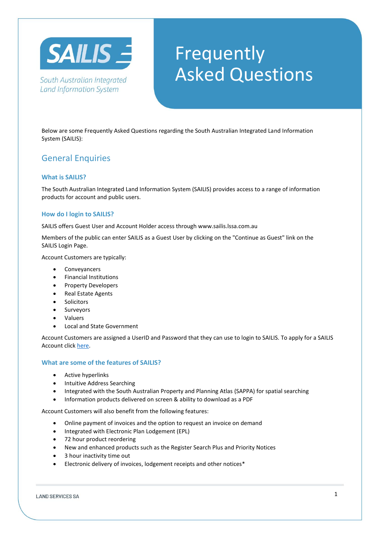

South Australian Integrated **Land Information System** 

# Frequently Asked Questions

Below are some Frequently Asked Questions regarding the South Australian Integrated Land Information System (SAILIS):

# General Enquiries

# **What is SAILIS?**

The South Australian Integrated Land Information System (SAILIS) provides access to a range of information products for account and public users.

## **How do I login to SAILIS?**

SAILIS offers Guest User and Account Holder access through www.sailis.lssa.com.au

Members of the public can enter SAILIS as a Guest User by clicking on the "Continue as Guest" link on the SAILIS Login Page.

Account Customers are typically:

- **Conveyancers**
- Financial Institutions
- Property Developers
- Real Estate Agents
- **Solicitors**
- **Surveyors**
- Valuers
- Local and State Government

Account Customers are assigned a UserID and Password that they can use to login to SAILIS. To apply for a SAILIS Account clic[k here.](https://www.landservices.com.au/__data/assets/pdf_file/0022/5494/LSSA-SAILIS-Credit-and-Account-Application-Form.pdf)

## **What are some of the features of SAILIS?**

- Active hyperlinks
- Intuitive Address Searching
- Integrated with the South Australian Property and Planning Atlas (SAPPA) for spatial searching
- Information products delivered on screen & ability to download as a PDF

Account Customers will also benefit from the following features:

- Online payment of invoices and the option to request an invoice on demand
- Integrated with Electronic Plan Lodgement (EPL)
- 72 hour product reordering
- New and enhanced products such as the Register Search Plus and Priority Notices
- 3 hour inactivity time out
- Electronic delivery of invoices, lodgement receipts and other notices\*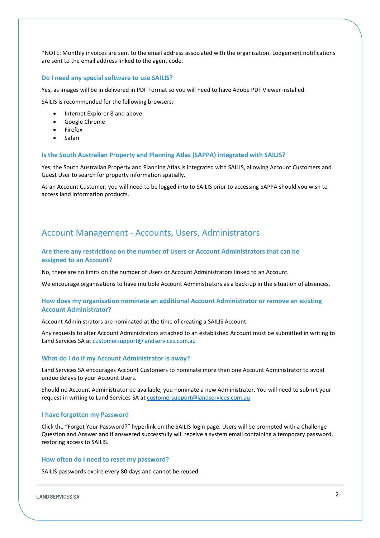\*NOTE: Monthly invoices are sent to the email address associated with the organisation. Lodgement notifications are sent to the email address linked to the agent code.

#### **Do I need any special software to use SAILIS?**

Yes, as images will be in delivered in PDF Format so you will need to have Adobe PDF Viewer installed.

SAILIS is recommended for the following browsers:

- Internet Explorer 8 and above
- Google Chrome
- **Firefox**
- Safari

#### **Is the South Australian Property and Planning Atlas (SAPPA) integrated with SAILIS?**

Yes, the South Australian Property and Planning Atlas is integrated with SAILIS, allowing Account Customers and Guest User to search for property information spatially.

As an Account Customer, you will need to be logged into to SAILIS prior to accessing SAPPA should you wish to access land information products.

# Account Management - Accounts, Users, Administrators

# **Are there any restrictions on the number of Users or Account Administrators that can be assigned to an Account?**

No, there are no limits on the number of Users or Account Administrators linked to an Account.

We encourage organisations to have multiple Account Administrators as a back-up in the situation of absences.

## **How does my organisation nominate an additional Account Administrator or remove an existing Account Administrator?**

Account Administrators are nominated at the time of creating a SAILIS Account.

Any requests to alter Account Administrators attached to an established Account must be submitted in writing to Land Services SA at [customersupport@landservices.com.au](mailto:customersupport@landservices.com.au)

#### **What do I do if my Account Administrator is away?**

Land Services SA encourages Account Customers to nominate more than one Account Administrator to avoid undue delays to your Account Users.

Should no Account Administrator be available, you nominate a new Administrator. You will need to submit your request in writing to Land Services SA at [customersupport@landservices.com.au](mailto:customersupport@landservices.com.au)

#### **I have forgotten my Password**

Click the "Forgot Your Password?" hyperlink on the SAILIS login page. Users will be prompted with a Challenge Question and Answer and if answered successfully will receive a system email containing a temporary password, restoring access to SAILIS.

## **How often do I need to reset my password?**

SAILIS passwords expire every 80 days and cannot be reused.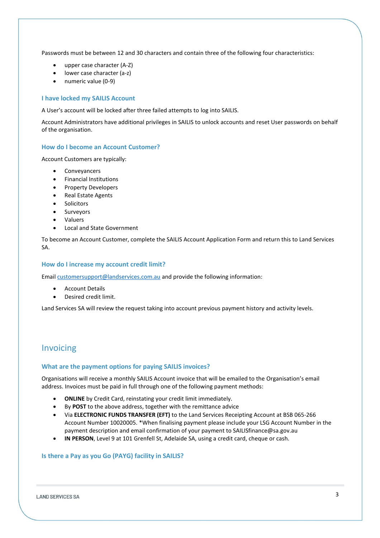Passwords must be between 12 and 30 characters and contain three of the following four characteristics:

- upper case character (A-Z)
- lower case character (a-z)
- numeric value (0-9)

## **I have locked my SAILIS Account**

A User's account will be locked after three failed attempts to log into SAILIS.

Account Administrators have additional privileges in SAILIS to unlock accounts and reset User passwords on behalf of the organisation.

#### **How do I become an Account Customer?**

Account Customers are typically:

- Conveyancers
- Financial Institutions
- Property Developers
- Real Estate Agents
- **Solicitors**
- **Surveyors**
- **Valuers**
- Local and State Government

To become an Account Customer, complete the SAILIS Account Application Form and return this to Land Services SA.

#### **How do I increase my account credit limit?**

Emai[l customersupport@landservices.com.au](mailto:customersupport@landservices.com.au) and provide the following information:

- **Account Details**
- Desired credit limit.

Land Services SA will review the request taking into account previous payment history and activity levels.

# Invoicing

## **What are the payment options for paying SAILIS invoices?**

Organisations will receive a monthly SAILIS Account invoice that will be emailed to the Organisation's email address. Invoices must be paid in full through one of the following payment methods:

- **ONLINE** by Credit Card, reinstating your credit limit immediately.
- By **POST** to the above address, together with the remittance advice
- Via **ELECTRONIC FUNDS TRANSFER (EFT)** to the Land Services Receipting Account at BSB 065-266 Account Number 10020005. \*When finalising payment please include your LSG Account Number in the payment description and email confirmation of your payment to SAILISfinance@sa.gov.au
- **IN PERSON**, Level 9 at 101 Grenfell St, Adelaide SA, using a credit card, cheque or cash.

## **Is there a Pay as you Go (PAYG) facility in SAILIS?**

**LAND SERVICES SA**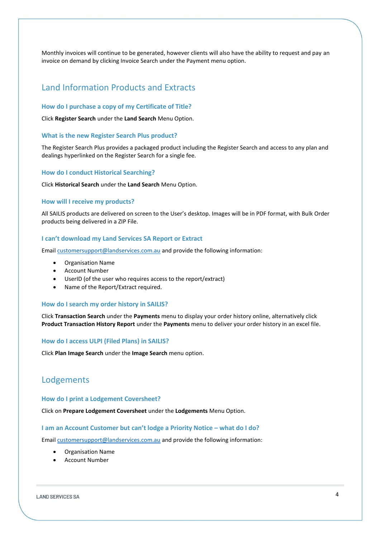Monthly invoices will continue to be generated, however clients will also have the ability to request and pay an invoice on demand by clicking Invoice Search under the Payment menu option.

# Land Information Products and Extracts

#### **How do I purchase a copy of my Certificate of Title?**

Click **Register Search** under the **Land Search** Menu Option.

#### **What is the new Register Search Plus product?**

The Register Search Plus provides a packaged product including the Register Search and access to any plan and dealings hyperlinked on the Register Search for a single fee.

#### **How do I conduct Historical Searching?**

Click **Historical Search** under the **Land Search** Menu Option.

#### **How will I receive my products?**

All SAILIS products are delivered on screen to the User's desktop. Images will be in PDF format, with Bulk Order products being delivered in a ZIP File.

#### **I can't download my Land Services SA Report or Extract**

Emai[l customersupport@landservices.com.au](mailto:customersupport@landservices.com.au) and provide the following information:

- Organisation Name
- Account Number
- UserID (of the user who requires access to the report/extract)
- Name of the Report/Extract required.

## **How do I search my order history in SAILIS?**

Click **Transaction Search** under the **Payments** menu to display your order history online, alternatively click **Product Transaction History Report** under the **Payments** menu to deliver your order history in an excel file.

#### **How do I access ULPI (Filed Plans) in SAILIS?**

Click **Plan Image Search** under the **Image Search** menu option.

# Lodgements

### **How do I print a Lodgement Coversheet?**

Click on **Prepare Lodgement Coversheet** under the **Lodgements** Menu Option.

#### **I am an Account Customer but can't lodge a Priority Notice – what do I do?**

Emai[l customersupport@landservices.com.au](mailto:customersupport@landservices.com.au) and provide the following information:

- Organisation Name
- **Account Number**